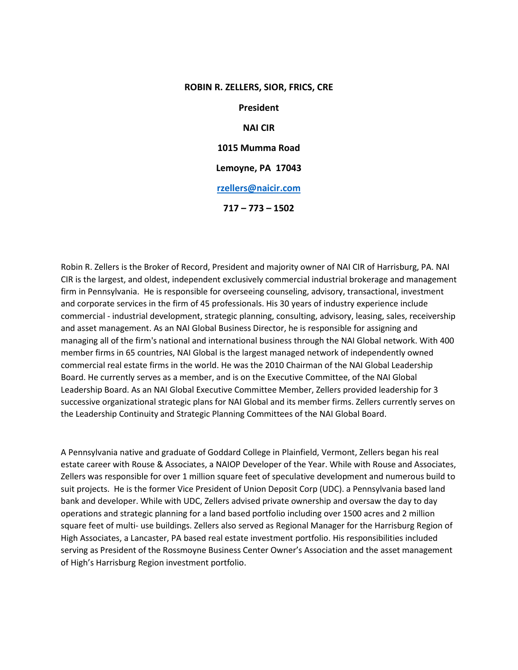### **ROBIN R. ZELLERS, SIOR, FRICS, CRE**

**President NAI CIR 1015 Mumma Road Lemoyne, PA 17043 [rzellers@naicir.com](mailto:rzellers@naicir.com) 717 – 773 – 1502**

Robin R. Zellers is the Broker of Record, President and majority owner of NAI CIR of Harrisburg, PA. NAI CIR is the largest, and oldest, independent exclusively commercial industrial brokerage and management firm in Pennsylvania. He is responsible for overseeing counseling, advisory, transactional, investment and corporate services in the firm of 45 professionals. His 30 years of industry experience include commercial - industrial development, strategic planning, consulting, advisory, leasing, sales, receivership and asset management. As an NAI Global Business Director, he is responsible for assigning and managing all of the firm's national and international business through the NAI Global network. With 400 member firms in 65 countries, NAI Global is the largest managed network of independently owned commercial real estate firms in the world. He was the 2010 Chairman of the NAI Global Leadership Board. He currently serves as a member, and is on the Executive Committee, of the NAI Global Leadership Board. As an NAI Global Executive Committee Member, Zellers provided leadership for 3 successive organizational strategic plans for NAI Global and its member firms. Zellers currently serves on the Leadership Continuity and Strategic Planning Committees of the NAI Global Board.

A Pennsylvania native and graduate of Goddard College in Plainfield, Vermont, Zellers began his real estate career with Rouse & Associates, a NAIOP Developer of the Year. While with Rouse and Associates, Zellers was responsible for over 1 million square feet of speculative development and numerous build to suit projects. He is the former Vice President of Union Deposit Corp (UDC). a Pennsylvania based land bank and developer. While with UDC, Zellers advised private ownership and oversaw the day to day operations and strategic planning for a land based portfolio including over 1500 acres and 2 million square feet of multi- use buildings. Zellers also served as Regional Manager for the Harrisburg Region of High Associates, a Lancaster, PA based real estate investment portfolio. His responsibilities included serving as President of the Rossmoyne Business Center Owner's Association and the asset management of High's Harrisburg Region investment portfolio.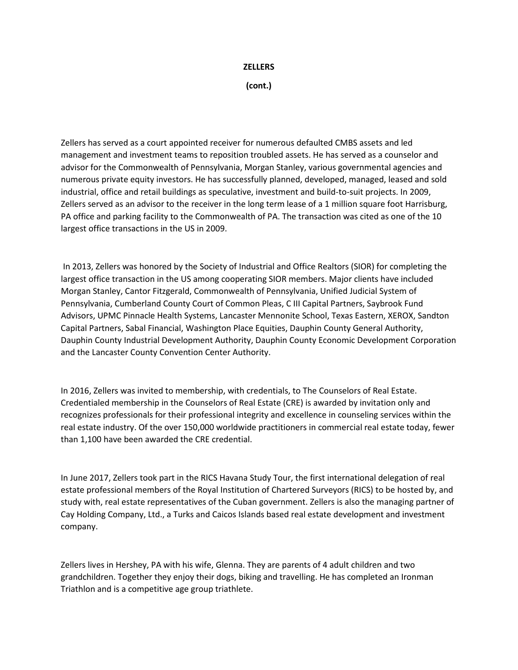# **ZELLERS**

**(cont.)**

Zellers has served as a court appointed receiver for numerous defaulted CMBS assets and led management and investment teams to reposition troubled assets. He has served as a counselor and advisor for the Commonwealth of Pennsylvania, Morgan Stanley, various governmental agencies and numerous private equity investors. He has successfully planned, developed, managed, leased and sold industrial, office and retail buildings as speculative, investment and build-to-suit projects. In 2009, Zellers served as an advisor to the receiver in the long term lease of a 1 million square foot Harrisburg, PA office and parking facility to the Commonwealth of PA. The transaction was cited as one of the 10 largest office transactions in the US in 2009.

In 2013, Zellers was honored by the Society of Industrial and Office Realtors (SIOR) for completing the largest office transaction in the US among cooperating SIOR members. Major clients have included Morgan Stanley, Cantor Fitzgerald, Commonwealth of Pennsylvania, Unified Judicial System of Pennsylvania, Cumberland County Court of Common Pleas, C III Capital Partners, Saybrook Fund Advisors, UPMC Pinnacle Health Systems, Lancaster Mennonite School, Texas Eastern, XEROX, Sandton Capital Partners, Sabal Financial, Washington Place Equities, Dauphin County General Authority, Dauphin County Industrial Development Authority, Dauphin County Economic Development Corporation and the Lancaster County Convention Center Authority.

In 2016, Zellers was invited to membership, with credentials, to The Counselors of Real Estate. Credentialed membership in the Counselors of Real Estate (CRE) is awarded by invitation only and recognizes professionals for their professional integrity and excellence in counseling services within the real estate industry. Of the over 150,000 worldwide practitioners in commercial real estate today, fewer than 1,100 have been awarded the CRE credential.

In June 2017, Zellers took part in the RICS Havana Study Tour, the first international delegation of real estate professional members of the Royal Institution of Chartered Surveyors (RICS) to be hosted by, and study with, real estate representatives of the Cuban government. Zellers is also the managing partner of Cay Holding Company, Ltd., a Turks and Caicos Islands based real estate development and investment company.

Zellers lives in Hershey, PA with his wife, Glenna. They are parents of 4 adult children and two grandchildren. Together they enjoy their dogs, biking and travelling. He has completed an Ironman Triathlon and is a competitive age group triathlete.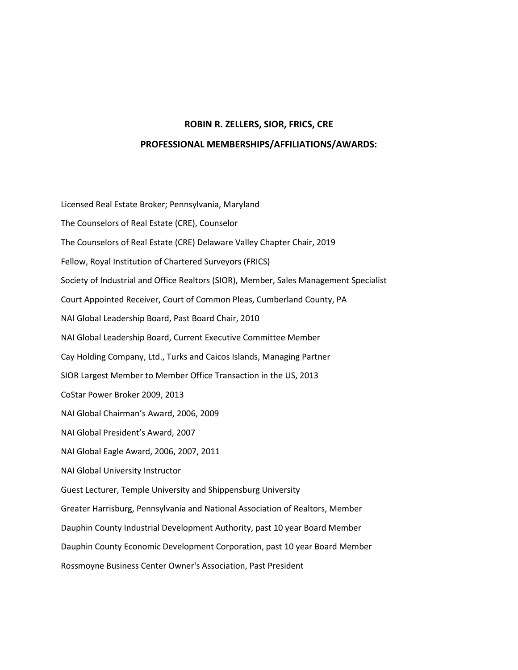# **ROBIN R. ZELLERS, SIOR, FRICS, CRE**

### **PROFESSIONAL MEMBERSHIPS/AFFILIATIONS/AWARDS:**

Licensed Real Estate Broker; Pennsylvania, Maryland The Counselors of Real Estate (CRE), Counselor The Counselors of Real Estate (CRE) Delaware Valley Chapter Chair, 2019 Fellow, Royal Institution of Chartered Surveyors (FRICS) Society of Industrial and Office Realtors (SIOR), Member, Sales Management Specialist Court Appointed Receiver, Court of Common Pleas, Cumberland County, PA NAI Global Leadership Board, Past Board Chair, 2010 NAI Global Leadership Board, Current Executive Committee Member Cay Holding Company, Ltd., Turks and Caicos Islands, Managing Partner SIOR Largest Member to Member Office Transaction in the US, 2013 CoStar Power Broker 2009, 2013 NAI Global Chairman's Award, 2006, 2009 NAI Global President's Award, 2007 NAI Global Eagle Award, 2006, 2007, 2011 NAI Global University Instructor Guest Lecturer, Temple University and Shippensburg University Greater Harrisburg, Pennsylvania and National Association of Realtors, Member Dauphin County Industrial Development Authority, past 10 year Board Member Dauphin County Economic Development Corporation, past 10 year Board Member Rossmoyne Business Center Owner's Association, Past President